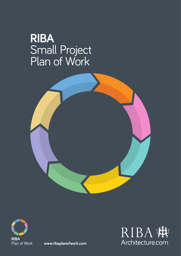# **RIBA**  Small Project Plan of Work





**www.ribaplanofwork.com**

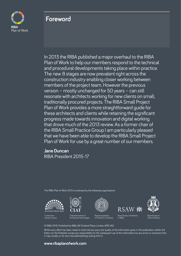

### **Foreword**

In 2013 the RIBA published a major overhaul to the RIBA Plan of Work to help our members respond to the technical and procedural developments taking place within practice. The new 8 stages are now prevalent right across the construction industry enabling closer working between members of the project team. However the previous version – mostly unchanged for 50 years – can still resonate with architects working for new clients on small, traditionally procured projects. The RIBA Small Project Plan of Work provides a more straightforward quide for these architects and clients while retaining the significant progress made towards innovation and digital working that drove much of the 2013 review. As a former chair of the RIBA Small Practice Group I am particularly pleased that we have been able to develop the RIBA Small Project Plan of Work for use by a great number of our members.

**Jane Duncan**

RIBA President 2015-17

The RIBA Plan of Work 2013 is endorsed by the following organisations:







red Institute of



Royal Society of Architects in Wales



Construction Industry Council

tural Technologies

Royal Incorporation of Architects in Scotland

Royal Society of Ulster Architects

© RIBA 2016. Published by RIBA, 66 Portland Place, London, W1B 1AD.

While every effort has been made to check the accuracy and quality of the information given in this publication, neither the Editor nor the Publisher accept any responsibility for the subsequent use of this information, for any errors or omissions that it may contain, or for any misunderstandings arising from it.

#### **www.ribaplanofwork.com**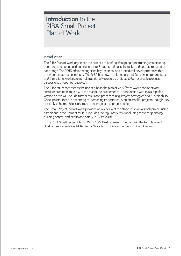### **Introduction** to the RIBA Small Project Plan of Work

#### **Introduction**

The RIBA Plan of Work organises the process of briefing, designing, constructing, maintaining, operating and using building projects into 8 stages. It details the tasks and outputs required at each stage. The 2013 edition recognised key technical and procedural developments within the wider construction industry. The RIBA has now developed a simplified version for architects and their clients working on small traditionally procured projects to better enable process discussions throughout a project.

The RIBA still recommends the use of a bespoke plan of work (from www.ribaplanofwork. com) for architects to use with the rest of the project team in conjunction with this simplified version as this will include further tasks and processes (e.g. Project Strategies and Sustainability Checkpoints) that are becoming of increasing importance, even on smaller projects, though they are likely to be much less onerous to manage at this project scale.

The Small Project Plan of Work provides an overview of the stage tasks on a small project using a traditional procurement route. It includes the regulatory tasks including those for planning, building control and health and safety i.e. CDM 2015.

In the RIBA Small Project Plan of Work [Italic] text represents guidance in the template and **Bold** text represents key RIBA Plan of Work terms that can be found in the Glossary.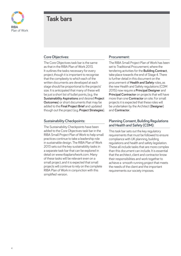

### **Task bars**

#### **Core Objectives:**

The Core Objectives task bar is the same as that in the RIBA Plan of Work 2013. It outlines the tasks necessary for every project, though it is important to recognise that the complexity to which each of the written documents are developed at each stage should be proportional to the projects' size. It is anticipated that many of these will be just a short list of bullet points, (e.g. the **Sustainability Aspirations** and desired **Project Outcomes**) or short documents that may be added to the **Final Project Brief** and updated though out the project (e.g. **Project Strategies**).

#### **Sustainability Checkpoints:**

The Sustainability Checkpoints have been added to the Core Objectives task bar in the RIBA Small Project Plan of Work to help small practices continue to take a leadership role in sustainable design. The RIBA Plan of Work 2013 sets out the key sustainability tasks in a separate task bar that can be explored in detail on www.ribaplanofwork.com. Many of these tasks will be relevant even on a small project, and it is expected that small projects will continue to rely on the complete RIBA Plan of Work in conjunction with this simplified version.

#### **Procurement:**

The RIBA Small Project Plan of Work has been set to Traditional Procurement, where the tendering activities for the **Building Contract**, take place towards the end of Stage 4. There is further detail in this document on the procurement of **Health and Safety** roles, as the new Health and Safety regulations (CDM 2015) now require a **Principal Designer** and **Principal Contractor** on projects that will have more than one **Contractor** on site. For small projects it is expected that these roles will be undertaken by the Architect (**Designer**) and **Contractor**.

#### **Planning Consent, Building Regulations and Health and Safety (CDM):**

This task bar sets out the key regulatory requirements that must be followed to ensure compliance with UK planning, building regulations and health and safety legislation. These all include tasks that are more complex than this document can include. It is essential that the architect, client and contractor know their responsibilities and work together to achieve a smooth running project that meets the needs of the client and the important requirements our society imposes.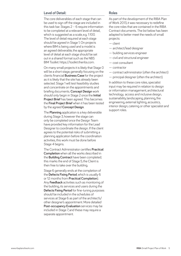#### **Level of Detail:**

The core deliverables of each stage that can be used to sign off the stage are included in this task bar. Stages 2 – 6 require information to be completed at a relevant level of detail, which is suggested as a scale, e.g. 1:100. The level of detail required at each stage should be agreed in Stage 1. On projects where BIM is being used and a model is an agreed deliverable, the appropriate level of detail at each stage should be set out in a shared format such as the NBS BIM Toolkit: https://toolkit.thenbs.com.

On many small projects it is likely that Stage 0 will be a short stage, generally focusing on the clients financial **Business Case** for the project as it is likely that the site has already been selected. Stage 1 will test feasibility studies and concentrate on the appointments and briefing documents. **Concept Design** work should only begin in Stage 2 once the **Initial Project Brief** has been agreed. This becomes the **Final Project Brief** when it has been tested by the agreed **Concept Design**.

The **Planning** application is a key deliverable during Stage 3, however the stage can only be completed once the Design Team have provided key information for the Lead Designer to coordinate the design. If the client agrees to the potential risks of submitting a planning application before the coordination activities, this work must be done before Stage 4 begins.

The Contract Administrator certifies **Practical Completion** when all the works described in the **Building Contract** have been completed; this marks the end of Stage 5, the Client is then free to take over the building.

Stage 6 generally ends at the completion of the **Defects Fixing Period**, which is usually 6 or 12 months from **Practical Completion**). Any **Feedback** activities such as monitoring of the building, its services and users during the **Defects Fixing Period** for fine-tuning purposes should be included in the schedules of services at Stage 6 as part of the architect's/ other designer's appointment. More detailed **Post-occupancy Evaluation** services may be included in Stage 7, and these may require a separate appointment.

#### **Roles**

As part of the development of the RIBA Plan of Work 2013, it was necessary to redefine the core roles that are contained in the RIBA Contract documents. The list below has been adapted to better meet the needs of small projects:

- client
- architect/lead designer
- building services engineer
- civil and structural engineer
- cost consultant
- contractor
- contract administrator (often the architect)
- principal designer (often the architect).

In addition to these core roles, specialist input may be required in relation to design or information management, architectural technology, access and inclusive design, sustainability, landscaping, planning, fire engineering, external lighting, acoustics, interior design, catering or other specialist and support roles.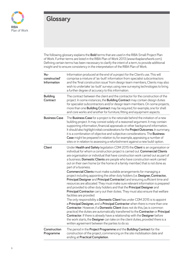

## **Glossary**

The following glossary explains the **Bold** terms that are used in the RIBA Small Project Plan of Work. Further terms are listed in the RIBA Plan of Work 2013 (www.ribaplanofwork.com). Defining certain terms has been necessary to clarify the intent of a term, to provide additional insight and to ensure consistency in the interpretation of the RIBA Plan of Work.

| $As-$<br>constructed'<br>Information | Information produced at the end of a project for the Client's use. This will<br>comprise a mixture of 'as-built' information from specialist subcontractors<br>and the 'final construction issue' from design team members, Clients may also<br>wish to undertake 'as-built' surveys using new surveying technologies to bring<br>a further degree of accuracy to this information.                                                                                                                                                                                                                              |
|--------------------------------------|------------------------------------------------------------------------------------------------------------------------------------------------------------------------------------------------------------------------------------------------------------------------------------------------------------------------------------------------------------------------------------------------------------------------------------------------------------------------------------------------------------------------------------------------------------------------------------------------------------------|
| <b>Building</b><br><b>Contract</b>   | The contract between the client and the contractor for the construction of the<br>project. In some instances, the <b>Building Contract</b> may contain design duties<br>for specialist subcontractors and/or design team members. On some projects,<br>more than one <b>Building Contract</b> may be required; for example, one for shell<br>and core works and another for furniture, fitting and equipment aspects.                                                                                                                                                                                            |
| <b>Business Case</b>                 | The <b>Business Case</b> for a project is the rationale behind the initiation of a new<br>building project. It may consist solely of a reasoned argument. It may contain<br>supporting information, financial appraisals or other background information.<br>It should also highlight initial considerations for the <b>Project Outcomes</b> . In summary,<br>it is a combination of objective and subjective considerations. The <b>Business</b><br>Case might be prepared in relation to, for example, appraising a number of<br>sites or in relation to assessing a refurbishment against a new build option. |
| <b>Client</b>                        | Under Health and Safety legislation CDM 2015 the Client is an organisation or<br>individual for whom a construction project is carried out. Commercial Clients<br>are organisation or individual that have construction work carried out as part of<br>a business. Domestic Clients are people who have construction work carried<br>out on their own home (or the home of a family member) that is not done as<br>part of a business.                                                                                                                                                                           |
|                                      | <b>Commercial Clients</b> must make suitable arrangements for managing a<br>project including appointing the other duty holders (i.e. Designer, Contractor,<br>Principal Designer and Principal Contractor) and ensuring sufficient time and<br>resources are allocated. They must make sure relevant information is prepared<br>and provided to other duty holders and that the Principal Designer and<br>Principal Contractor carry out their duties. They must also ensure that welfare<br>facilities are provided.                                                                                           |
|                                      | The only responsibility a <b>Domestic Client</b> has under CDM 2015 is to appoint<br>a Principal Designer, and a Principal Contractor when there is more than one<br>Contractor. However, if a Domestic Client does not do this, (as is common<br>practice) the duties are automatically transferred to the <b>Contractor</b> or <b>Principal</b><br><b>Contractor.</b> If there is already have a relationship with the Designer before<br>the work starts, the Designer can take on the client duties, provided there is a<br>written agreement between the parties to do so.                                  |
| Construction<br>Programme            | The period in the Project Programme and the Building Contract for the<br>construction of the project, commencing on the site mobilisation date and<br>ending at Practical Completion.                                                                                                                                                                                                                                                                                                                                                                                                                            |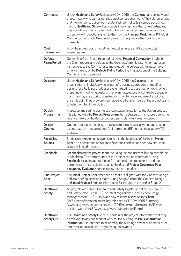| Contractor                              | Under Health and Safety legislation CDM 2015, the Contractor is an individual<br>or a company who carries out the actual construction work. They plan, manage<br>and monitor construction work under their control so it is carried out without<br>risks to Health and Safety. For projects involving more than one Contractor,<br>they coordinate their activities with others in the project team - in particular,<br>to comply with directions given to them by the Principal Designer or Principal<br><b>Contractor.</b> For single <b>Contractor</b> projects, they prepare the construction<br>phase plan. |  |  |  |  |  |
|-----------------------------------------|------------------------------------------------------------------------------------------------------------------------------------------------------------------------------------------------------------------------------------------------------------------------------------------------------------------------------------------------------------------------------------------------------------------------------------------------------------------------------------------------------------------------------------------------------------------------------------------------------------------|--|--|--|--|--|
| Cost<br>Information                     | All of the project costs, including the cost estimate and life cycle costs<br>where required.                                                                                                                                                                                                                                                                                                                                                                                                                                                                                                                    |  |  |  |  |  |
| <b>Defects</b><br><b>Fixing Period</b>  | Generally a 6 or 12 month period following <b>Practical Completion</b> in which<br>the Client reports any defects to the Contract Administrator who may issue<br>instructions to the Contractor to make good the defects within reasonable<br>time. At the end of the Defects Fixing Period the final account of the Building<br><b>Contact</b> should be settled.                                                                                                                                                                                                                                               |  |  |  |  |  |
| <b>Designer</b>                         | Under Health and Safety legislation CDM 2015 the Designer is an<br>organisation or individual who as part of a business, prepares or modifies<br>designs for a building, product or system relating to construction work. When<br>preparing or modifying designs, they eliminate, reduce or control foreseeable<br>risks that may arise during construction, maintenance and use of a building<br>once it is built. They provide information to other members of the project team<br>to help them fulfil their duties.                                                                                           |  |  |  |  |  |
| Design<br>Programme                     | A programme setting out the strategic dates in relation to the design process.<br>It is aligned with the Project Programme but is strategic in its nature, due to the<br>iterative nature of the design process, particularly in the early stages.                                                                                                                                                                                                                                                                                                                                                               |  |  |  |  |  |
| Design<br>Queries                       | Queries relating to the design arising from the site, typically managed using<br>a contractor's in-house request for information (RFI) or technical query (TQ)<br>process.                                                                                                                                                                                                                                                                                                                                                                                                                                       |  |  |  |  |  |
| Feasibility<br><b>Studies</b>           | Studies undertaken on a given site to test the feasibility of the Initial Project<br>Brief on a specific site or in a specific context and to consider how site-wide<br>issues will be addressed.                                                                                                                                                                                                                                                                                                                                                                                                                |  |  |  |  |  |
| Feedback                                | <b>Feedback</b> from the project team, including the end users following completion<br>of a building. The performance of the project can be determined using<br>Feedback, including about the performance of the project team and the<br>performance of the building against the desired Project Outcomes. Post<br>occupancy Evaluation services may also be included.                                                                                                                                                                                                                                           |  |  |  |  |  |
| <b>Final Project</b><br><b>Brief</b>    | The Initial Project Brief amended so that it is aligned with the Concept Design<br>and any briefing decisions made during Stage 2. (Both the Concept Design<br>and Initial Project Brief are Information Exchanges at the end of Stage 2.)                                                                                                                                                                                                                                                                                                                                                                       |  |  |  |  |  |
| <b>Health</b> and<br><b>Safety</b>      | All projects are subject to Health and Safety legislation set by the Health<br>and Safety Executive. (HSE) The latest regulations 'Construction Design<br>Management (CDM) 2015' place new responsibilities on the Client.<br>For further information on the key roles see HSE CDM 2015 Summary<br>(www.hse.gov.uk/construction/cdm/2015/summary.htm) and HSE Need<br>building work done? (www.hse.gov.uk/pubns/indg411.htm).                                                                                                                                                                                    |  |  |  |  |  |
| <b>Health</b> and<br><b>Safety File</b> | The Health and Safety File must contain all the project information that may<br>be relevant to any subsequent work for the building, as Pre-Construction<br>Information. It is intended to be used by the building's owner or operator after<br>handover, or passed on to any subsequent owners.                                                                                                                                                                                                                                                                                                                 |  |  |  |  |  |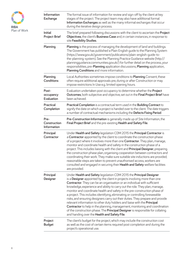

| Information<br><b>Exchange</b>             | The formal issue of information for review and sign-off by the client at key<br>stages of the project. The project team may also have additional formal<br>Information Exchanges as well as the many informal exchanges that occur<br>during the iterative design process.                                                                                                                                                                                                                                                                                                                                                                                                                                                                                                                                                                                                   |  |  |  |  |  |
|--------------------------------------------|------------------------------------------------------------------------------------------------------------------------------------------------------------------------------------------------------------------------------------------------------------------------------------------------------------------------------------------------------------------------------------------------------------------------------------------------------------------------------------------------------------------------------------------------------------------------------------------------------------------------------------------------------------------------------------------------------------------------------------------------------------------------------------------------------------------------------------------------------------------------------|--|--|--|--|--|
| <b>Initial</b><br><b>Project Brief</b>     | The brief prepared following discussions with the client to ascertain the <b>Project</b><br>Objectives, the client's Business Case and, in certain instances, in response to<br>site Feasibility Studies.                                                                                                                                                                                                                                                                                                                                                                                                                                                                                                                                                                                                                                                                    |  |  |  |  |  |
| Planning                                   | <b>Planning</b> is the process of managing the development of land and buildings.<br>The Government has published a Plain English guide to the Planning System<br>(https://www.gov.uk/government/publications/plain-english-guide-to-<br>the-planning-system). See the Planning Practice Guidance website (http://<br>planningguidance.communities.gov.uk/) for further detail on the process, your<br>responsibilities, pre-Planning application discussions, Planning application,<br>Planning Conditions and more information.                                                                                                                                                                                                                                                                                                                                            |  |  |  |  |  |
| Planning<br><b>Conditions</b>              | Local Authorities sometimes impose conditions to Planning Consent, these<br>often require additional approvals pre, during or after Construction or may<br>impose restrictions In Use e.g. limited opening hours.                                                                                                                                                                                                                                                                                                                                                                                                                                                                                                                                                                                                                                                            |  |  |  |  |  |
| Post-<br>occupancy<br><b>Evaluation</b>    | Evaluation undertaken post occupancy to determine whether the Project<br>Outcomes, both subjective and objective, set out in the Final Project Brief have<br>been achieved.                                                                                                                                                                                                                                                                                                                                                                                                                                                                                                                                                                                                                                                                                                  |  |  |  |  |  |
| <b>Practical</b><br>Completion             | Practical Completion is a contractual term used in the Building Contract to<br>signify the date on which a project is handed over to the client. The date triggers<br>a number of contractual mechanisms including the Defects Fixing Period.                                                                                                                                                                                                                                                                                                                                                                                                                                                                                                                                                                                                                                |  |  |  |  |  |
| Pre-<br><b>Construction</b><br>Information | Pre-Construction Information is generally made up of Site Information, the<br>Final Project Brief and the pre-existing Health and Safety File.                                                                                                                                                                                                                                                                                                                                                                                                                                                                                                                                                                                                                                                                                                                               |  |  |  |  |  |
| Principal<br>Contractor                    | Under Health and Safety legislation CDM 2015 the Principal Contractor is<br>a Contractor appointed by the client to coordinate the construction phase<br>of a project where it involves more than one <b>Contractor</b> . They plan, manage,<br>monitor and coordinate health and safety in the construction phase of a<br>project. This includes liaising with the client and <b>Principal Designer</b> , preparing<br>the construction phase plan, organising cooperation between contractors and<br>coordinating their work. They make sure suitable site inductions are provided,<br>reasonable steps are taken to prevent unauthorised access, workers are<br>consulted and engaged in securing their Health and Safety welfare facilities<br>are provided.                                                                                                             |  |  |  |  |  |
| Principal<br><b>Designer</b>               | Under Health and Safety legislation CDM 2015 the Principal Designer<br>is a Designer appointed by the client in projects involving more than one<br><b>Contractor.</b> They can be an organisation or an individual with sufficient<br>knowledge, experience and ability to carry out the role. They plan, manage,<br>monitor and coordinate health and safety in the pre-construction phase of<br>a project. This includes identifying, eliminating or controlling foreseeable<br>risks, and ensuring designers carry out their duties. They prepare and provide<br>relevant information to other duty holders and liaise with the Principal<br><b>Contractor</b> to help in the planning, management, monitoring and coordination<br>of the construction phase. The <b>Principal Designer</b> is responsible for collating<br>and handing over the Health and Safety File. |  |  |  |  |  |
| Project<br><b>Budget</b>                   | The client's budget for the project, which may include the construction cost<br>as well as the cost of certain items required post completion and during the<br>project's operational use.                                                                                                                                                                                                                                                                                                                                                                                                                                                                                                                                                                                                                                                                                   |  |  |  |  |  |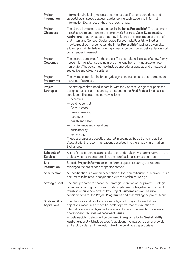| Project<br>Information                                                                                                                                                                                                                                                                                                                                                                                                                                                                                                                                                  | Information, including models, documents, specifications, schedules and<br>spreadsheets, issued between parties during each stage and in formal<br>Information Exchanges at the end of each stage.                                                                                                                                                                                                                                                                                                                                                                                            |  |  |  |  |  |
|-------------------------------------------------------------------------------------------------------------------------------------------------------------------------------------------------------------------------------------------------------------------------------------------------------------------------------------------------------------------------------------------------------------------------------------------------------------------------------------------------------------------------------------------------------------------------|-----------------------------------------------------------------------------------------------------------------------------------------------------------------------------------------------------------------------------------------------------------------------------------------------------------------------------------------------------------------------------------------------------------------------------------------------------------------------------------------------------------------------------------------------------------------------------------------------|--|--|--|--|--|
| Project<br><b>Objectives</b>                                                                                                                                                                                                                                                                                                                                                                                                                                                                                                                                            | The client's key objectives as set out in the Initial Project Brief. The document<br>includes, where appropriate, the employer's Business Case, Sustainability<br>Aspirations or other aspects that may influence the preparation of the brief<br>and, in turn, the Concept Design stage. For example, Feasibility Studies<br>may be required in order to test the <b>Initial Project Brief</b> against a given site,<br>allowing certain high-level briefing issues to be considered before design work<br>commences in earnest.                                                             |  |  |  |  |  |
| Project<br>Outcomes                                                                                                                                                                                                                                                                                                                                                                                                                                                                                                                                                     | The desired outcomes for the project (for example, in the case of a new family<br>house this might be: 'spending more time together' or 'living a clutter free<br>home-life'). The outcomes may include operational aspects and a mixture of<br>subjective and objective criteria.                                                                                                                                                                                                                                                                                                            |  |  |  |  |  |
| Project<br>Programme                                                                                                                                                                                                                                                                                                                                                                                                                                                                                                                                                    | The overall period for the briefing, design, construction and post-completion<br>activities of a project.                                                                                                                                                                                                                                                                                                                                                                                                                                                                                     |  |  |  |  |  |
| Project<br><b>Strategies</b>                                                                                                                                                                                                                                                                                                                                                                                                                                                                                                                                            | The strategies developed in parallel with the Concept Design to support the<br>design and, in certain instances, to respond to the <b>Final Project Brief</b> as it is<br>concluded. These strategies may include:<br>$-$ acoustics<br>- building control<br>$-$ Construction<br>$-$ fire engineering<br>$-$ handover<br>- health and safety<br>- maintenance and operational<br>$-$ sustainability<br>- technology.<br>These strategies are usually prepared in outline at Stage 2 and in detail at<br>Stage 3, with the recommendations absorbed into the Stage 4 Information<br>Exchanges. |  |  |  |  |  |
| Schedule of<br><b>Services</b>                                                                                                                                                                                                                                                                                                                                                                                                                                                                                                                                          | A list of specific services and tasks to be undertaken by a party involved in the<br>project which is incorporated into their professional services contract.                                                                                                                                                                                                                                                                                                                                                                                                                                 |  |  |  |  |  |
| <b>Site</b><br>Information                                                                                                                                                                                                                                                                                                                                                                                                                                                                                                                                              | Specific Project Information in the form of specialist surveys or reports<br>relating to the project or site specific context.                                                                                                                                                                                                                                                                                                                                                                                                                                                                |  |  |  |  |  |
| Specification                                                                                                                                                                                                                                                                                                                                                                                                                                                                                                                                                           | A Specification is a written description of the required quality of a project. It is a<br>document to be read in conjunction with the Technical Design.                                                                                                                                                                                                                                                                                                                                                                                                                                       |  |  |  |  |  |
| <b>Strategic Brief</b>                                                                                                                                                                                                                                                                                                                                                                                                                                                                                                                                                  | The brief prepared to enable the Strategic Definition of the project. Strategic<br>considerations might include considering different sites, whether to extend,<br>refurbish or build new and the key <b>Project Outcomes</b> as well as initial<br>considerations for the Project Programme and assembling the project team.                                                                                                                                                                                                                                                                 |  |  |  |  |  |
| The client's aspirations for sustainability, which may include additional<br>Sustainability<br>objectives, measures or specific levels of performance in relation to<br><b>Aspirations</b><br>international standards, as well as details of specific demands in relation to<br>operational or facilities management issues.<br>A sustainability strategy will be prepared in response to the Sustainability<br>Aspirations and will include specific additional items, such as an energy plan<br>and ecology plan and the design life of the building, as appropriate. |                                                                                                                                                                                                                                                                                                                                                                                                                                                                                                                                                                                               |  |  |  |  |  |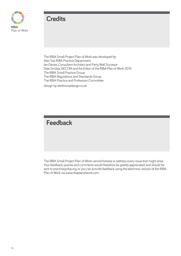

## **Credits**

The RIBA Small Project Plan of Work was developed by: Alex Tait, RIBA Practice Department Ian Davies, Consultant Architect and Party Wall Surveyor Dale Sinclair, AECOM and the Editor of the RIBA Plan of Work 2013 The RIBA Small Practice Group The RIBA Regulations and Standards Group The RIBA Practice and Profession Committee

Design by darkhorsedesign.co.uk

**Feedback**

The RIBA Small Project Plan of Work cannot foresee or address every issue that might arise. Your feedback, queries and comments would therefore be greatly appreciated and should be sent to practice@riba.org, or you can provide feedback using the electronic version of the RIBA Plan of Work via www.ribaplanofwork.com.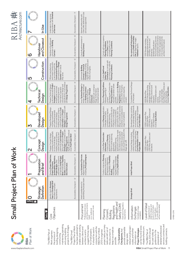| C                                 |
|-----------------------------------|
|                                   |
| ς<br>Ω<br>$\overline{\mathbf{5}}$ |
|                                   |
| 7                                 |
|                                   |
|                                   |
| י                                 |
| Ì                                 |
|                                   |
|                                   |
|                                   |
|                                   |
|                                   |
|                                   |
|                                   |
|                                   |
| ſ                                 |
|                                   |

RIBA 脚

|                         | In Use                         | in accordance with Schedule<br>of Services.<br>Undertake In Use services                                                                                                                                                                                                                                                                                 | [Sustainability Checkpoint - 7]                          | Client, offer additional In Use<br>Maintain relationship with<br>services as appointed                                                                                                                                  |                                                                                                                                                                                                                                                                                                                             |                                                                                                                                                                   |                                                                                                                                                                                                                                                                                               |
|-------------------------|--------------------------------|----------------------------------------------------------------------------------------------------------------------------------------------------------------------------------------------------------------------------------------------------------------------------------------------------------------------------------------------------------|----------------------------------------------------------|-------------------------------------------------------------------------------------------------------------------------------------------------------------------------------------------------------------------------|-----------------------------------------------------------------------------------------------------------------------------------------------------------------------------------------------------------------------------------------------------------------------------------------------------------------------------|-------------------------------------------------------------------------------------------------------------------------------------------------------------------|-----------------------------------------------------------------------------------------------------------------------------------------------------------------------------------------------------------------------------------------------------------------------------------------------|
|                         | and Closeout<br>Handover       | Handover of building and<br>conclusion of Building<br>Contract.                                                                                                                                                                                                                                                                                          | [Sustainability Checkpoint - 6]                          | Conclude administration of<br><b>Building Contract</b> .                                                                                                                                                                | Comply with pre-occupancy<br>to comply with in-use<br>Planning Conditions.<br>Advise Client of need<br>Planning Conditions.                                                                                                                                                                                                 | As-constructed Information<br>including Health and Safety<br>File [at begining of stage].<br>Feedback reports.                                                    | 1:100 Site plan including<br>drainage, external works, etc.<br>and specialist subcontractor<br>information [as appropriate<br>if not incorporated onto the<br>Structural, building services<br>1:50 Plans, Sections and<br>architects information].<br>Detailed Specification.<br>Elevations. |
|                         | Construction                   | Construction Programme<br>and resolution of Design<br>and onsite Construction<br>in accordance with the<br>Offsite manufacturing<br>Queries from site as<br>they arise.                                                                                                                                                                                  | [Sustainability Checkpoint - 5]                          | regular site inspections and<br>Completion, including<br>Contract to Practical<br>Administer Building<br>review of progress.                                                                                            | Contractor to comply with<br>any construction-specific<br>Planning Conditions.<br>Collate Health and<br>Safety File.                                                                                                                                                                                                        |                                                                                                                                                                   |                                                                                                                                                                                                                                                                                               |
|                         | Technical<br>Design            | specifications, in accordance<br>in accordance with Project<br>Prepare Technical Design<br>subcontractor design and<br>with Design Programme<br>Strategies to include all<br>architectural, structural<br>information, specialist<br>and building services                                                                                               | [Sustainability Checkpoint - 4]                          | Issue Technical Design for<br>tender. Tenders assessed<br>Specialist sub-contractor<br>and Building Contract<br>reviewed post award.<br>appointing Principal<br>Stage 4 information<br>awarded including<br>Contractor. | Prepare and submit Building<br>Review Planning Conditions<br>Discharge pre-Construction<br>required and others where<br>and any other third party<br>Regulations submission<br>Planning Conditions as<br>submissions requiring<br>following granting of<br>possible.<br>consent.<br>consent.                                | Completed Technical Design<br>of the project.                                                                                                                     | drainage, external works, etc.<br>Door/Window/Finishes and<br>1:100 Site plan including<br>1:50 Plans, Sections and<br>120 Detailed plans and<br>Detailed Specification.<br>component details<br>1:500 Block Plan.<br>1:10/1:5/Full Size<br>other Schedules.<br>Elevations.<br>sections.      |
|                         | Developed<br>Design            | Stategies in accordance with<br>Prepare Developed Design<br>outline specifications, Cost<br>building services systems,<br>Information and Project<br>and updated proposals<br>including coordinated<br>for structural design,<br>Design Programme.                                                                                                       | [Sustainability Checkpoint - 3]                          |                                                                                                                                                                                                                         | design coordination activities<br>should be concluded prior to<br>Submit Planning application.<br>[Detailed planning<br>applications should only be<br>approved by the client. The<br>consultations as required.<br>made prior to the design<br>coordination activities if<br>Undertake third party<br>stage 3 completion]. | Developed Design, including<br>the coordinated architectural<br>services design and updated<br>Cost Information.<br>structural and building                       | 1:100 Plans, Sections and<br>Outline Specification.<br>1:1250 Location Plan.<br>1:50 Sketch Details.<br>1:500 Site Plan.<br>Elevations.                                                                                                                                                       |
| $\overline{\mathsf{N}}$ | Concept<br>Design              | preliminary <b>Cost Information</b><br>along with relevant <b>Project</b><br><b>Strategies</b> in accordance with<br>Agree alterations to brief and<br>including outline proposals<br>for structural design,<br>building services systems,<br>outline specifications and<br>Prepare Concept Design,<br>Final Project Brief<br>Design Programme.<br>issue | $\overline{\mathcal{C}}$<br>[Sustainability Checkpoint - |                                                                                                                                                                                                                         | risks should be included in the<br>Stage sign-off].<br>applications.<br>[Detailed planning<br>applications should be made<br>only where to meet specific<br>client need, the associated<br>Collate Pre-Construction<br>application discussions.<br>Submit outline planning<br>Conduct pre-Planning<br>Information.          | Concept Design including<br>outline structural and building<br>services design, preliminary<br><b>Cost Information</b> and <b>Final</b><br><b>Project Brief</b> . | Plans, Sections and<br>1:1250 Location Plan.<br>1:500 Site Plan.<br>Elevations.<br>1:100                                                                                                                                                                                                      |
|                         | Preparation<br>and Brief       | Develop Project Objectives,<br>Brief. Undertake Feasibility<br>Sustainability Aspirations,<br>parameters or constraints<br>and develop Initial Project<br>Studies and review of<br>Project Budget, other<br>Project Outcomes,<br>Site Information.                                                                                                       | Sustainability Checkpoint - 1]                           | Agree <b>Schedule of Services.</b><br>Appoint design team<br>including <b>Principal Designer</b> .                                                                                                                      | Conduct initial pre-Planning<br>regulatory responsibilities<br>including <b>Health and Safety</b><br>the suitability of Feasibility<br>[if required to determine<br>application discussions,<br>inform Client of their<br>Studies                                                                                           | Initial Project Brief.                                                                                                                                            |                                                                                                                                                                                                                                                                                               |
|                         | Definition<br><b>Strategic</b> | Case and Strategic Brief<br>Identify client's Business<br>and other core project<br>requirements.                                                                                                                                                                                                                                                        | Sustainability Checkpoint - O                            | assembling the project team.<br>Initial considerations for                                                                                                                                                              |                                                                                                                                                                                                                                                                                                                             | Strategic Brief.                                                                                                                                                  |                                                                                                                                                                                                                                                                                               |
| zeget2                  | <b>Tasks</b>                   | Objectives<br>Core                                                                                                                                                                                                                                                                                                                                       |                                                          | and building contracts<br>Professional services<br>Procurement<br>procurement route<br>on a traditional<br>based                                                                                                        | and Health and<br>Overview of regulatory<br>Safety (CDM)<br>Regulations<br>Consent,<br>requirements.<br>Planning<br>Building                                                                                                                                                                                                | nformation<br>Generally at stage<br>Exchanges<br>completion                                                                                                       | for specification<br>[If using BIM the model<br>will be a deliverable.]<br>Level of Detail<br>detail for design and<br>level of information<br>Suggested level of                                                                                                                             |

maintaining, operating<br>and using building<br>projects into 8 stages. ring in the control of Mork<br>Project Plan of Work<br>has been published to<br>enween clients and<br>between clients and It should be used in<br>conjunction with the<br>RIBA Plan of Work<br>2013 to organise<br>project tasks, as many<br>tasks are left out of services contracts and<br>building contracts. services contracts and has been published to architects and to<br>suggest the key tasks project tasks, as many maintaining, operating suggest the key tasks relevant at all project<br>scales, and further can be found at www.<br>ribaplanofwork.com. projects into 8 stages. enable closer working detailed professional relevant at all project can be found at www. detailed professional Project Plan of Work conjunction with the keep it as simple as between clients and ribaplanofwork.com. It should be used in keep it as simple as Checkpoints, that<br>provide sustainable provide sustainable **RIBA**<br>Plan of Work briefing, designing, tasks are left out of **Project Strategies** The RIBA Plan of<br>Work 2013 should briefing, designing, RIBA Plan of Work The Sustainability Work 2013 should for small projects. this document to The **Sustainability**  scales, and further building contracts. for small projects. **Checkpoints**, that **Project Strategies** be used solely as and using building this document to The RIBA Plan of The RIBA Plan of Work organises<br>the process of The RIBA Small 2013 to organise The RIBA Plan of be used solely as guidance for the architects and to The RIBA Small guidance for the Work organises information on preparation of design tasks information on the process of constructing, preparation of constructing, design tasks possible.

Plan of Work